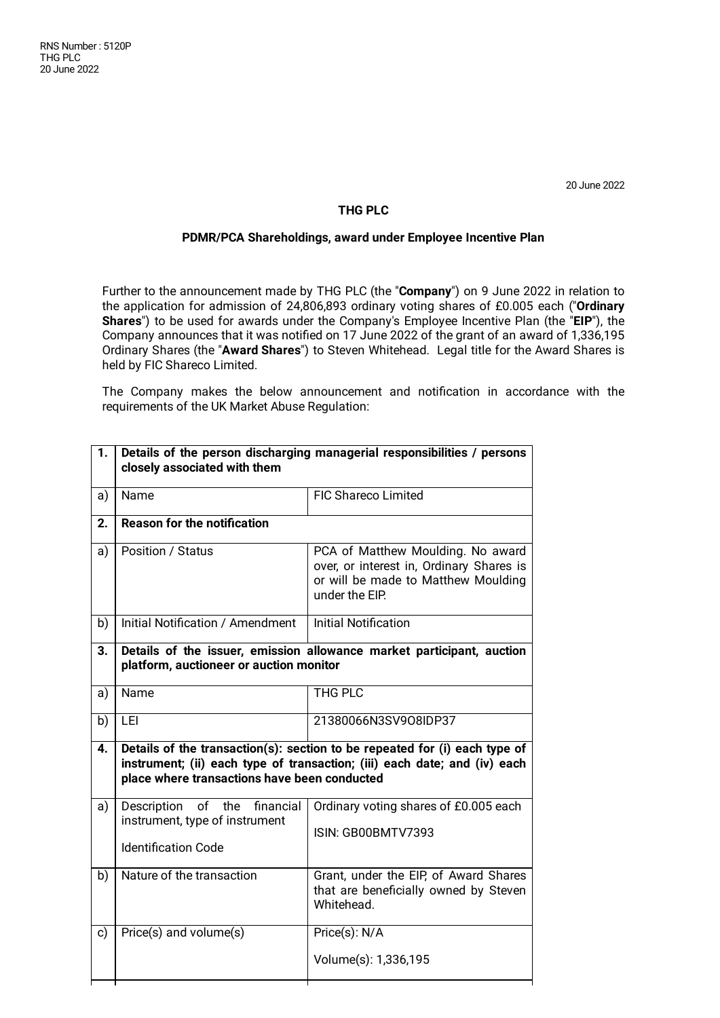20 June 2022

## **THG PLC**

## **PDMR/PCA Shareholdings, award under Employee Incentive Plan**

Further to the announcement made by THG PLC (the "**Company**") on 9 June 2022 in relation to the application for admission of 24,806,893 ordinary voting shares of £0.005 each ("**Ordinary Shares**") to be used for awards under the Company's Employee Incentive Plan (the "**EIP**"), the Company announces that it was notified on 17 June 2022 of the grant of an award of 1,336,195 Ordinary Shares (the "**Award Shares**") to Steven Whitehead. Legal title for the Award Shares is held by FIC Shareco Limited.

The Company makes the below announcement and notification in accordance with the requirements of the UK Market Abuse Regulation:

| 1. | Details of the person discharging managerial responsibilities / persons<br>closely associated with them                                                                                                 |                                                                                                                                        |
|----|---------------------------------------------------------------------------------------------------------------------------------------------------------------------------------------------------------|----------------------------------------------------------------------------------------------------------------------------------------|
| a) | Name                                                                                                                                                                                                    | <b>FIC Shareco Limited</b>                                                                                                             |
| 2. | <b>Reason for the notification</b>                                                                                                                                                                      |                                                                                                                                        |
| a) | Position / Status                                                                                                                                                                                       | PCA of Matthew Moulding. No award<br>over, or interest in, Ordinary Shares is<br>or will be made to Matthew Moulding<br>under the EIP. |
| b) | Initial Notification / Amendment                                                                                                                                                                        | <b>Initial Notification</b>                                                                                                            |
| 3. | Details of the issuer, emission allowance market participant, auction<br>platform, auctioneer or auction monitor                                                                                        |                                                                                                                                        |
| a) | Name                                                                                                                                                                                                    | <b>THG PLC</b>                                                                                                                         |
| b) | LEI                                                                                                                                                                                                     | 21380066N3SV9O8IDP37                                                                                                                   |
| 4. | Details of the transaction(s): section to be repeated for (i) each type of<br>instrument; (ii) each type of transaction; (iii) each date; and (iv) each<br>place where transactions have been conducted |                                                                                                                                        |
| a) | of the financial<br>Description<br>instrument, type of instrument<br><b>Identification Code</b>                                                                                                         | Ordinary voting shares of £0.005 each<br>ISIN: GB00BMTV7393                                                                            |
| b) | Nature of the transaction                                                                                                                                                                               | Grant, under the EIP, of Award Shares<br>that are beneficially owned by Steven<br>Whitehead.                                           |
| c) | Price(s) and volume(s)                                                                                                                                                                                  | Price(s): N/A<br>Volume(s): 1,336,195                                                                                                  |